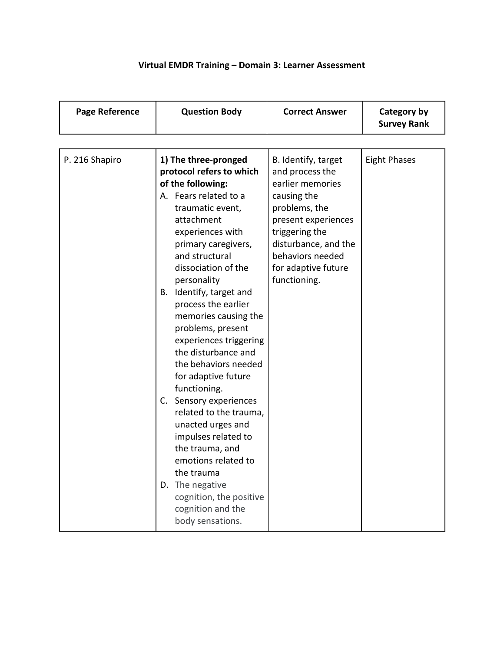## **Virtual EMDR Training – Domain 3: Learner Assessment**

| <b>Page Reference</b> | <b>Question Body</b>                                                                                                                                                                                                                                                                                                                                                                                                                                                                                                                                                                                                                                                                              | <b>Correct Answer</b>                                                                                                                                                                                                  | Category by<br><b>Survey Rank</b> |
|-----------------------|---------------------------------------------------------------------------------------------------------------------------------------------------------------------------------------------------------------------------------------------------------------------------------------------------------------------------------------------------------------------------------------------------------------------------------------------------------------------------------------------------------------------------------------------------------------------------------------------------------------------------------------------------------------------------------------------------|------------------------------------------------------------------------------------------------------------------------------------------------------------------------------------------------------------------------|-----------------------------------|
|                       |                                                                                                                                                                                                                                                                                                                                                                                                                                                                                                                                                                                                                                                                                                   |                                                                                                                                                                                                                        |                                   |
| P. 216 Shapiro        | 1) The three-pronged<br>protocol refers to which<br>of the following:<br>A. Fears related to a<br>traumatic event,<br>attachment<br>experiences with<br>primary caregivers,<br>and structural<br>dissociation of the<br>personality<br>B. Identify, target and<br>process the earlier<br>memories causing the<br>problems, present<br>experiences triggering<br>the disturbance and<br>the behaviors needed<br>for adaptive future<br>functioning.<br>C. Sensory experiences<br>related to the trauma,<br>unacted urges and<br>impulses related to<br>the trauma, and<br>emotions related to<br>the trauma<br>D. The negative<br>cognition, the positive<br>cognition and the<br>body sensations. | B. Identify, target<br>and process the<br>earlier memories<br>causing the<br>problems, the<br>present experiences<br>triggering the<br>disturbance, and the<br>behaviors needed<br>for adaptive future<br>functioning. | <b>Eight Phases</b>               |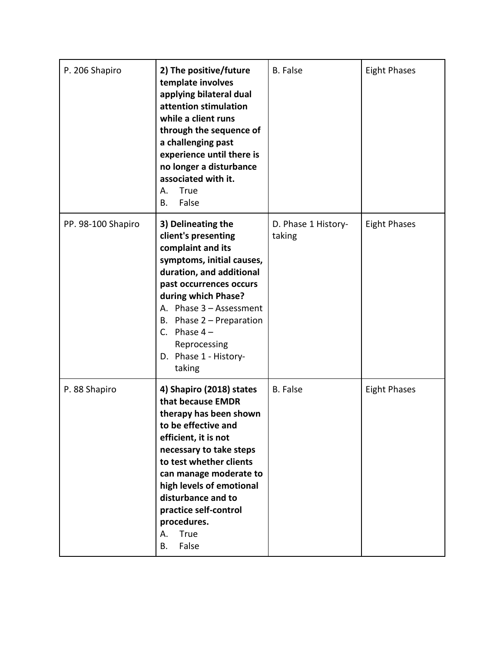| P. 206 Shapiro     | 2) The positive/future<br>template involves<br>applying bilateral dual<br>attention stimulation<br>while a client runs<br>through the sequence of<br>a challenging past<br>experience until there is<br>no longer a disturbance<br>associated with it.<br>True<br>А.<br>False<br>В.                                           | <b>B.</b> False               | <b>Eight Phases</b> |
|--------------------|-------------------------------------------------------------------------------------------------------------------------------------------------------------------------------------------------------------------------------------------------------------------------------------------------------------------------------|-------------------------------|---------------------|
| PP. 98-100 Shapiro | 3) Delineating the<br>client's presenting<br>complaint and its<br>symptoms, initial causes,<br>duration, and additional<br>past occurrences occurs<br>during which Phase?<br>A. Phase 3 - Assessment<br>B. Phase $2$ – Preparation<br>C. Phase $4-$<br>Reprocessing<br>D. Phase 1 - History-<br>taking                        | D. Phase 1 History-<br>taking | <b>Eight Phases</b> |
| P. 88 Shapiro      | 4) Shapiro (2018) states<br>that because EMDR<br>therapy has been shown<br>to be effective and<br>efficient, it is not<br>necessary to take steps<br>to test whether clients<br>can manage moderate to<br>high levels of emotional<br>disturbance and to<br>practice self-control<br>procedures.<br>True<br>А.<br>False<br>В. | <b>B.</b> False               | <b>Eight Phases</b> |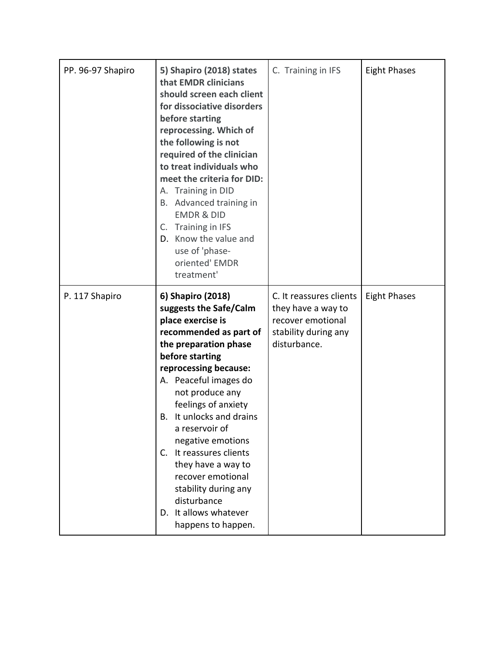| PP. 96-97 Shapiro | 5) Shapiro (2018) states<br>that EMDR clinicians<br>should screen each client<br>for dissociative disorders<br>before starting<br>reprocessing. Which of<br>the following is not<br>required of the clinician<br>to treat individuals who<br>meet the criteria for DID:<br>A. Training in DID<br>Advanced training in<br>В.<br><b>EMDR &amp; DID</b><br>Training in IFS<br>C.<br>D. Know the value and<br>use of 'phase-<br>oriented' EMDR<br>treatment'                         | C. Training in IFS                                                                                         | <b>Eight Phases</b> |
|-------------------|----------------------------------------------------------------------------------------------------------------------------------------------------------------------------------------------------------------------------------------------------------------------------------------------------------------------------------------------------------------------------------------------------------------------------------------------------------------------------------|------------------------------------------------------------------------------------------------------------|---------------------|
| P. 117 Shapiro    | 6) Shapiro (2018)<br>suggests the Safe/Calm<br>place exercise is<br>recommended as part of<br>the preparation phase<br>before starting<br>reprocessing because:<br>A. Peaceful images do<br>not produce any<br>feelings of anxiety<br>It unlocks and drains<br>В.<br>a reservoir of<br>negative emotions<br>It reassures clients<br>$C_{\cdot}$<br>they have a way to<br>recover emotional<br>stability during any<br>disturbance<br>D. It allows whatever<br>happens to happen. | C. It reassures clients<br>they have a way to<br>recover emotional<br>stability during any<br>disturbance. | <b>Eight Phases</b> |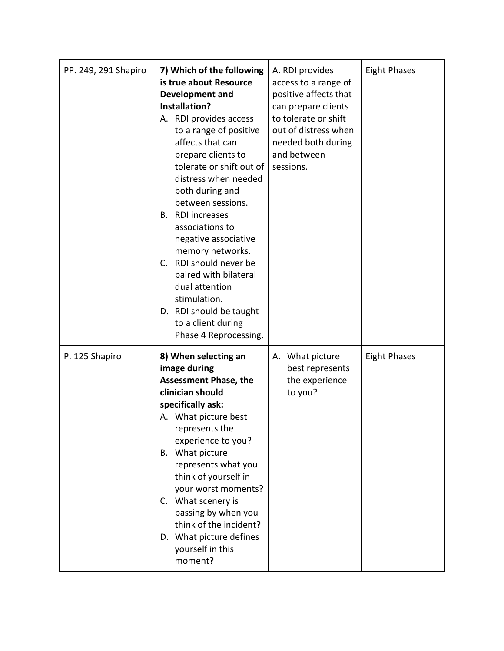| PP. 249, 291 Shapiro | 7) Which of the following<br>is true about Resource<br><b>Development and</b><br>Installation?<br>A. RDI provides access<br>to a range of positive<br>affects that can<br>prepare clients to<br>tolerate or shift out of<br>distress when needed<br>both during and<br>between sessions.<br><b>RDI</b> increases<br>В.<br>associations to<br>negative associative<br>memory networks.<br>RDI should never be<br>$C_{1}$<br>paired with bilateral<br>dual attention<br>stimulation.<br>D. RDI should be taught<br>to a client during<br>Phase 4 Reprocessing. | A. RDI provides<br>access to a range of<br>positive affects that<br>can prepare clients<br>to tolerate or shift<br>out of distress when<br>needed both during<br>and between<br>sessions. | <b>Eight Phases</b> |
|----------------------|--------------------------------------------------------------------------------------------------------------------------------------------------------------------------------------------------------------------------------------------------------------------------------------------------------------------------------------------------------------------------------------------------------------------------------------------------------------------------------------------------------------------------------------------------------------|-------------------------------------------------------------------------------------------------------------------------------------------------------------------------------------------|---------------------|
| P. 125 Shapiro       | 8) When selecting an<br>image during<br><b>Assessment Phase, the</b><br>clinician should<br>specifically ask:<br>A. What picture best<br>represents the<br>experience to you?<br>B. What picture<br>represents what you<br>think of yourself in<br>your worst moments?<br>C. What scenery is<br>passing by when you<br>think of the incident?<br>D. What picture defines<br>yourself in this<br>moment?                                                                                                                                                      | What picture<br>А.<br>best represents<br>the experience<br>to you?                                                                                                                        | <b>Eight Phases</b> |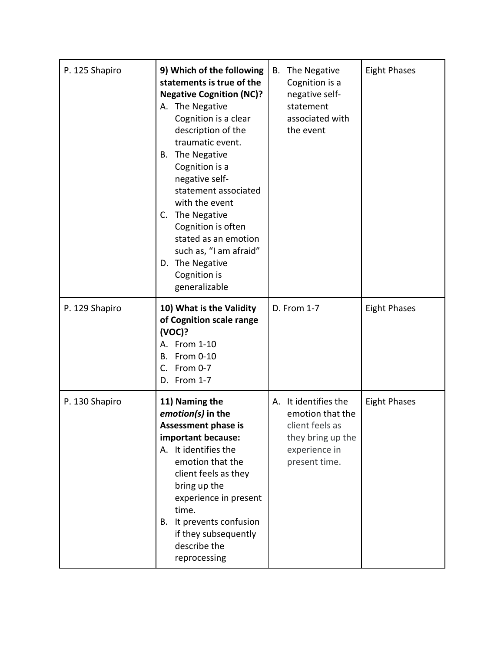| P. 125 Shapiro | 9) Which of the following<br>statements is true of the<br><b>Negative Cognition (NC)?</b><br>A. The Negative<br>Cognition is a clear<br>description of the<br>traumatic event.<br>The Negative<br>В.<br>Cognition is a<br>negative self-<br>statement associated<br>with the event<br>C. The Negative<br>Cognition is often<br>stated as an emotion<br>such as, "I am afraid"<br>The Negative<br>D.<br>Cognition is<br>generalizable | The Negative<br>В.<br>Cognition is a<br>negative self-<br>statement<br>associated with<br>the event                   | <b>Eight Phases</b> |
|----------------|--------------------------------------------------------------------------------------------------------------------------------------------------------------------------------------------------------------------------------------------------------------------------------------------------------------------------------------------------------------------------------------------------------------------------------------|-----------------------------------------------------------------------------------------------------------------------|---------------------|
| P. 129 Shapiro | 10) What is the Validity<br>of Cognition scale range<br>(VOC)?<br>A. From 1-10<br>From 0-10<br>В.<br>C.<br>From 0-7<br>D. From 1-7                                                                                                                                                                                                                                                                                                   | D. From 1-7                                                                                                           | <b>Eight Phases</b> |
| P. 130 Shapiro | 11) Naming the<br>emotion(s) in the<br>Assessment phase is<br>important because:<br>A. It identifies the<br>emotion that the<br>client feels as they<br>bring up the<br>experience in present<br>time.<br>It prevents confusion<br>В.<br>if they subsequently<br>describe the<br>reprocessing                                                                                                                                        | It identifies the<br>А.<br>emotion that the<br>client feels as<br>they bring up the<br>experience in<br>present time. | <b>Eight Phases</b> |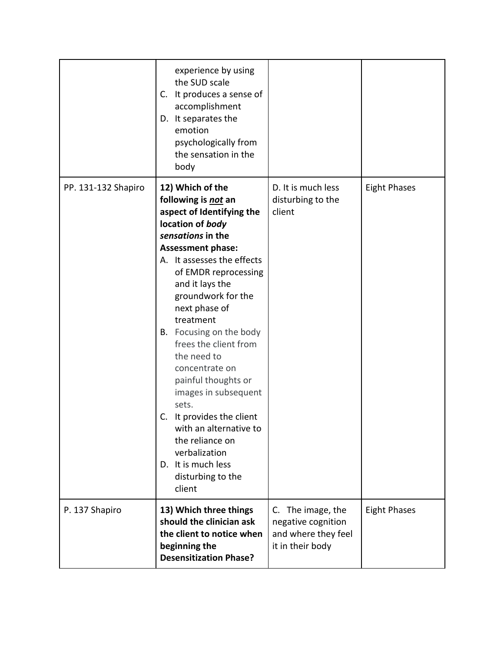| P. 137 Shapiro      | disturbing to the<br>client<br>13) Which three things<br>should the clinician ask<br>the client to notice when<br>beginning the<br><b>Desensitization Phase?</b>                                                                                                       | C. The image, the<br>negative cognition<br>and where they feel<br>it in their body | <b>Eight Phases</b> |
|---------------------|------------------------------------------------------------------------------------------------------------------------------------------------------------------------------------------------------------------------------------------------------------------------|------------------------------------------------------------------------------------|---------------------|
|                     | Focusing on the body<br>В.<br>frees the client from<br>the need to<br>concentrate on<br>painful thoughts or<br>images in subsequent<br>sets.<br>It provides the client<br>C.<br>with an alternative to<br>the reliance on<br>verbalization<br>D. It is much less       |                                                                                    |                     |
| PP. 131-132 Shapiro | 12) Which of the<br>following is not an<br>aspect of Identifying the<br>location of body<br>sensations in the<br><b>Assessment phase:</b><br>A. It assesses the effects<br>of EMDR reprocessing<br>and it lays the<br>groundwork for the<br>next phase of<br>treatment | D. It is much less<br>disturbing to the<br>client                                  | <b>Eight Phases</b> |
|                     | experience by using<br>the SUD scale<br>C. It produces a sense of<br>accomplishment<br>D. It separates the<br>emotion<br>psychologically from<br>the sensation in the<br>body                                                                                          |                                                                                    |                     |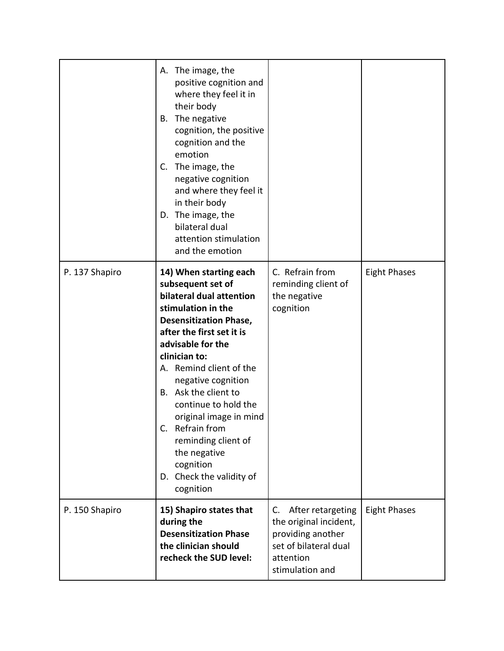|                | A. The image, the<br>positive cognition and<br>where they feel it in<br>their body<br>The negative<br>В.<br>cognition, the positive<br>cognition and the<br>emotion<br>The image, the<br>C.<br>negative cognition<br>and where they feel it<br>in their body<br>D. The image, the<br>bilateral dual<br>attention stimulation<br>and the emotion                                                                                                 |                                                                                                                                 |                     |
|----------------|-------------------------------------------------------------------------------------------------------------------------------------------------------------------------------------------------------------------------------------------------------------------------------------------------------------------------------------------------------------------------------------------------------------------------------------------------|---------------------------------------------------------------------------------------------------------------------------------|---------------------|
| P. 137 Shapiro | 14) When starting each<br>subsequent set of<br>bilateral dual attention<br>stimulation in the<br><b>Desensitization Phase,</b><br>after the first set it is<br>advisable for the<br>clinician to:<br>A. Remind client of the<br>negative cognition<br>B. Ask the client to<br>continue to hold the<br>original image in mind<br>Refrain from<br>С.<br>reminding client of<br>the negative<br>cognition<br>D. Check the validity of<br>cognition | C. Refrain from<br>reminding client of<br>the negative<br>cognition                                                             | <b>Eight Phases</b> |
| P. 150 Shapiro | 15) Shapiro states that<br>during the<br><b>Desensitization Phase</b><br>the clinician should<br>recheck the SUD level:                                                                                                                                                                                                                                                                                                                         | After retargeting<br>C.<br>the original incident,<br>providing another<br>set of bilateral dual<br>attention<br>stimulation and | <b>Eight Phases</b> |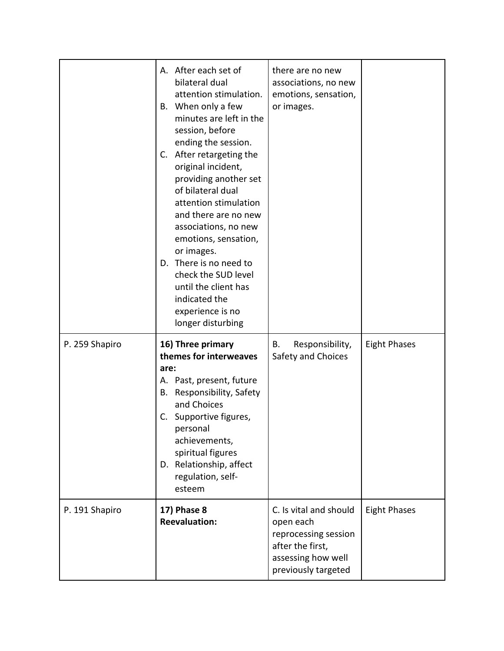|                | A. After each set of<br>bilateral dual<br>attention stimulation.<br>B. When only a few<br>minutes are left in the<br>session, before<br>ending the session.<br>C. After retargeting the<br>original incident,<br>providing another set<br>of bilateral dual<br>attention stimulation<br>and there are no new<br>associations, no new<br>emotions, sensation,<br>or images.<br>D. There is no need to<br>check the SUD level<br>until the client has<br>indicated the<br>experience is no<br>longer disturbing | there are no new<br>associations, no new<br>emotions, sensation,<br>or images.                                               |                     |
|----------------|---------------------------------------------------------------------------------------------------------------------------------------------------------------------------------------------------------------------------------------------------------------------------------------------------------------------------------------------------------------------------------------------------------------------------------------------------------------------------------------------------------------|------------------------------------------------------------------------------------------------------------------------------|---------------------|
| P. 259 Shapiro | 16) Three primary<br>themes for interweaves<br>are:<br>A. Past, present, future<br>Responsibility, Safety<br>В.<br>and Choices<br>Supportive figures,<br>C.<br>personal<br>achievements,<br>spiritual figures<br>D. Relationship, affect<br>regulation, self-<br>esteem                                                                                                                                                                                                                                       | Responsibility,<br>В.<br>Safety and Choices                                                                                  | <b>Eight Phases</b> |
| P. 191 Shapiro | <b>17) Phase 8</b><br><b>Reevaluation:</b>                                                                                                                                                                                                                                                                                                                                                                                                                                                                    | C. Is vital and should<br>open each<br>reprocessing session<br>after the first,<br>assessing how well<br>previously targeted | <b>Eight Phases</b> |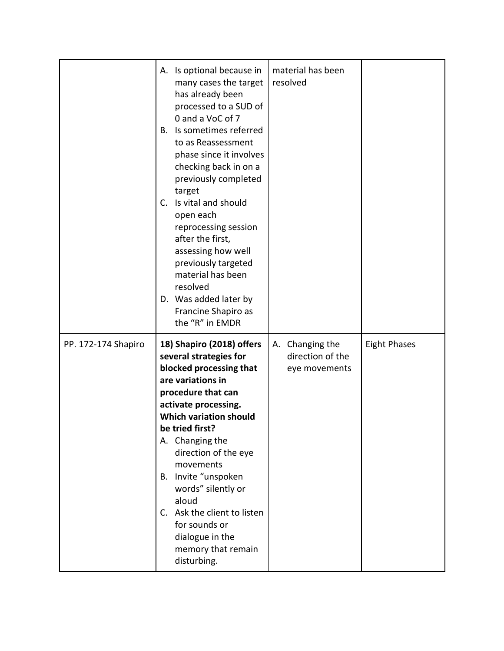|                     | A. Is optional because in<br>many cases the target<br>has already been<br>processed to a SUD of<br>0 and a VoC of 7<br>Is sometimes referred<br>В.<br>to as Reassessment<br>phase since it involves<br>checking back in on a<br>previously completed<br>target<br>Is vital and should<br>C.<br>open each<br>reprocessing session<br>after the first,<br>assessing how well<br>previously targeted<br>material has been<br>resolved<br>D. Was added later by<br>Francine Shapiro as<br>the "R" in EMDR | material has been<br>resolved                        |                     |
|---------------------|-------------------------------------------------------------------------------------------------------------------------------------------------------------------------------------------------------------------------------------------------------------------------------------------------------------------------------------------------------------------------------------------------------------------------------------------------------------------------------------------------------|------------------------------------------------------|---------------------|
| PP. 172-174 Shapiro | 18) Shapiro (2018) offers<br>several strategies for<br>blocked processing that<br>are variations in<br>procedure that can<br>activate processing.<br><b>Which variation should</b><br>be tried first?<br>A. Changing the<br>direction of the eye<br>movements<br>Invite "unspoken<br>В.<br>words" silently or<br>aloud<br>C. Ask the client to listen<br>for sounds or<br>dialogue in the<br>memory that remain<br>disturbing.                                                                        | A. Changing the<br>direction of the<br>eye movements | <b>Eight Phases</b> |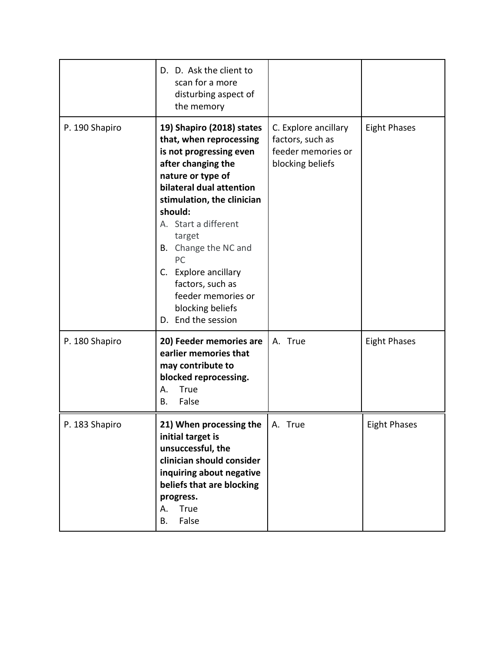|                | D. D. Ask the client to<br>scan for a more<br>disturbing aspect of<br>the memory                                                                                                                                                                                                                                                                                               |                                                                                    |                     |
|----------------|--------------------------------------------------------------------------------------------------------------------------------------------------------------------------------------------------------------------------------------------------------------------------------------------------------------------------------------------------------------------------------|------------------------------------------------------------------------------------|---------------------|
| P. 190 Shapiro | 19) Shapiro (2018) states<br>that, when reprocessing<br>is not progressing even<br>after changing the<br>nature or type of<br>bilateral dual attention<br>stimulation, the clinician<br>should:<br>A. Start a different<br>target<br>Change the NC and<br>В.<br>PC<br>C. Explore ancillary<br>factors, such as<br>feeder memories or<br>blocking beliefs<br>D. End the session | C. Explore ancillary<br>factors, such as<br>feeder memories or<br>blocking beliefs | <b>Eight Phases</b> |
| P. 180 Shapiro | 20) Feeder memories are<br>earlier memories that<br>may contribute to<br>blocked reprocessing.<br>True<br>А.<br>False<br>В.                                                                                                                                                                                                                                                    | A. True                                                                            | <b>Eight Phases</b> |
| P. 183 Shapiro | 21) When processing the<br>initial target is<br>unsuccessful, the<br>clinician should consider<br>inquiring about negative<br>beliefs that are blocking<br>progress.<br><b>True</b><br>А.<br>False<br>В.                                                                                                                                                                       | A. True                                                                            | <b>Eight Phases</b> |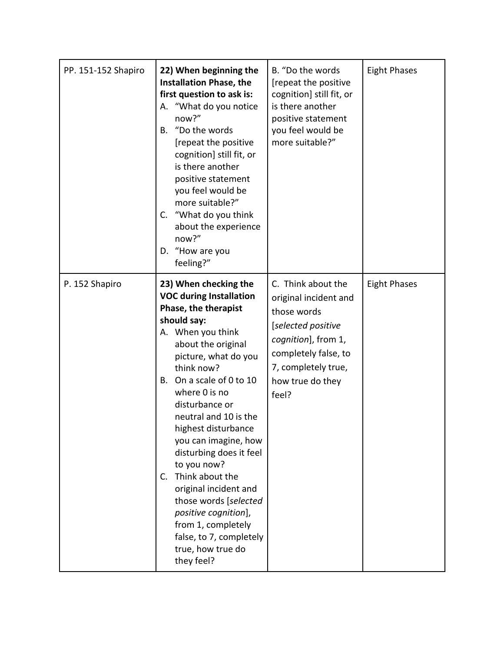| PP. 151-152 Shapiro | 22) When beginning the<br><b>Installation Phase, the</b><br>first question to ask is:<br>"What do you notice<br>А.<br>now?"<br>"Do the words<br><b>B.</b><br>[repeat the positive<br>cognition] still fit, or<br>is there another<br>positive statement<br>you feel would be<br>more suitable?"<br>C. "What do you think<br>about the experience<br>now?"<br>"How are you<br>D.<br>feeling?"                                                                                                                                                                 | B. "Do the words<br>[repeat the positive<br>cognition] still fit, or<br>is there another<br>positive statement<br>you feel would be<br>more suitable?"                              | <b>Eight Phases</b> |
|---------------------|--------------------------------------------------------------------------------------------------------------------------------------------------------------------------------------------------------------------------------------------------------------------------------------------------------------------------------------------------------------------------------------------------------------------------------------------------------------------------------------------------------------------------------------------------------------|-------------------------------------------------------------------------------------------------------------------------------------------------------------------------------------|---------------------|
| P. 152 Shapiro      | 23) When checking the<br><b>VOC during Installation</b><br>Phase, the therapist<br>should say:<br>A. When you think<br>about the original<br>picture, what do you<br>think now?<br>B. On a scale of 0 to 10<br>where 0 is no<br>disturbance or<br>neutral and 10 is the<br>highest disturbance<br>you can imagine, how<br>disturbing does it feel<br>to you now?<br>Think about the<br>$C_{1}$<br>original incident and<br>those words [selected<br>positive cognition],<br>from 1, completely<br>false, to 7, completely<br>true, how true do<br>they feel? | C. Think about the<br>original incident and<br>those words<br>[selected positive<br>cognition], from 1,<br>completely false, to<br>7, completely true,<br>how true do they<br>feel? | <b>Eight Phases</b> |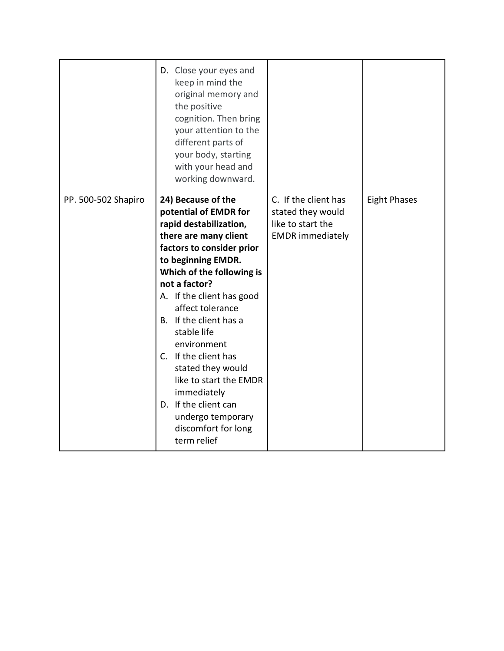|                     | D. Close your eyes and<br>keep in mind the<br>original memory and<br>the positive<br>cognition. Then bring<br>your attention to the<br>different parts of<br>your body, starting<br>with your head and<br>working downward.                                                                                                                                                                                                                                                       |                                                                                           |                     |
|---------------------|-----------------------------------------------------------------------------------------------------------------------------------------------------------------------------------------------------------------------------------------------------------------------------------------------------------------------------------------------------------------------------------------------------------------------------------------------------------------------------------|-------------------------------------------------------------------------------------------|---------------------|
| PP. 500-502 Shapiro | 24) Because of the<br>potential of EMDR for<br>rapid destabilization,<br>there are many client<br>factors to consider prior<br>to beginning EMDR.<br>Which of the following is<br>not a factor?<br>A. If the client has good<br>affect tolerance<br>B. If the client has a<br>stable life<br>environment<br>C. If the client has<br>stated they would<br>like to start the EMDR<br>immediately<br>D. If the client can<br>undergo temporary<br>discomfort for long<br>term relief | C. If the client has<br>stated they would<br>like to start the<br><b>EMDR</b> immediately | <b>Eight Phases</b> |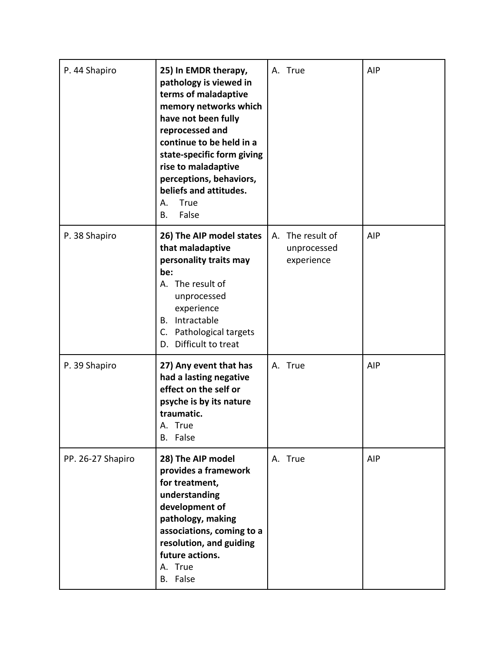| P. 44 Shapiro     | 25) In EMDR therapy,<br>pathology is viewed in<br>terms of maladaptive<br>memory networks which<br>have not been fully<br>reprocessed and<br>continue to be held in a<br>state-specific form giving<br>rise to maladaptive<br>perceptions, behaviors,<br>beliefs and attitudes.<br>True<br>А.<br>False<br>В. | A. True                                       | AIP |
|-------------------|--------------------------------------------------------------------------------------------------------------------------------------------------------------------------------------------------------------------------------------------------------------------------------------------------------------|-----------------------------------------------|-----|
| P. 38 Shapiro     | 26) The AIP model states<br>that maladaptive<br>personality traits may<br>be:<br>A. The result of<br>unprocessed<br>experience<br>B. Intractable<br>C. Pathological targets<br>D. Difficult to treat                                                                                                         | A. The result of<br>unprocessed<br>experience | AIP |
| P. 39 Shapiro     | 27) Any event that has<br>had a lasting negative<br>effect on the self or<br>psyche is by its nature<br>traumatic.<br>A. True<br>B. False                                                                                                                                                                    | A. True                                       | AIP |
| PP. 26-27 Shapiro | 28) The AIP model<br>provides a framework<br>for treatment,<br>understanding<br>development of<br>pathology, making<br>associations, coming to a<br>resolution, and guiding<br>future actions.<br>A. True<br>B. False                                                                                        | A. True                                       | AIP |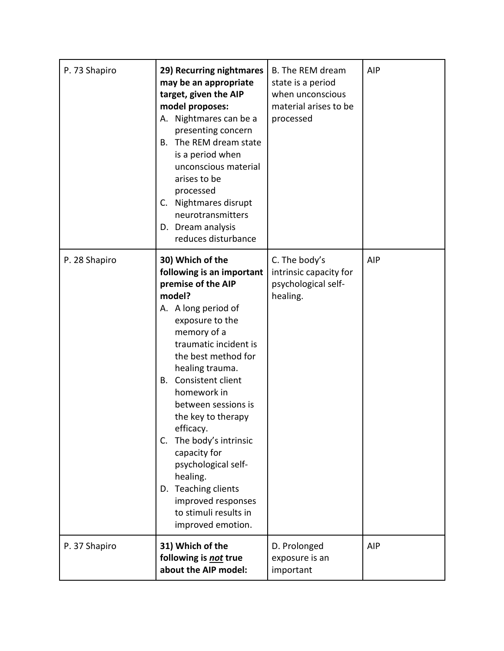| P. 73 Shapiro | 29) Recurring nightmares<br>may be an appropriate<br>target, given the AIP<br>model proposes:<br>A. Nightmares can be a<br>presenting concern<br>The REM dream state<br>B.<br>is a period when<br>unconscious material<br>arises to be<br>processed<br>C. Nightmares disrupt<br>neurotransmitters<br>D. Dream analysis<br>reduces disturbance                                                                                                                                             | B. The REM dream<br>state is a period<br>when unconscious<br>material arises to be<br>processed | AIP |
|---------------|-------------------------------------------------------------------------------------------------------------------------------------------------------------------------------------------------------------------------------------------------------------------------------------------------------------------------------------------------------------------------------------------------------------------------------------------------------------------------------------------|-------------------------------------------------------------------------------------------------|-----|
| P. 28 Shapiro | 30) Which of the<br>following is an important<br>premise of the AIP<br>model?<br>A. A long period of<br>exposure to the<br>memory of a<br>traumatic incident is<br>the best method for<br>healing trauma.<br>Consistent client<br>В.<br>homework in<br>between sessions is<br>the key to therapy<br>efficacy.<br>The body's intrinsic<br>C.<br>capacity for<br>psychological self-<br>healing.<br>D. Teaching clients<br>improved responses<br>to stimuli results in<br>improved emotion. | C. The body's<br>intrinsic capacity for<br>psychological self-<br>healing.                      | AIP |
| P. 37 Shapiro | 31) Which of the<br>following is not true<br>about the AIP model:                                                                                                                                                                                                                                                                                                                                                                                                                         | D. Prolonged<br>exposure is an<br>important                                                     | AIP |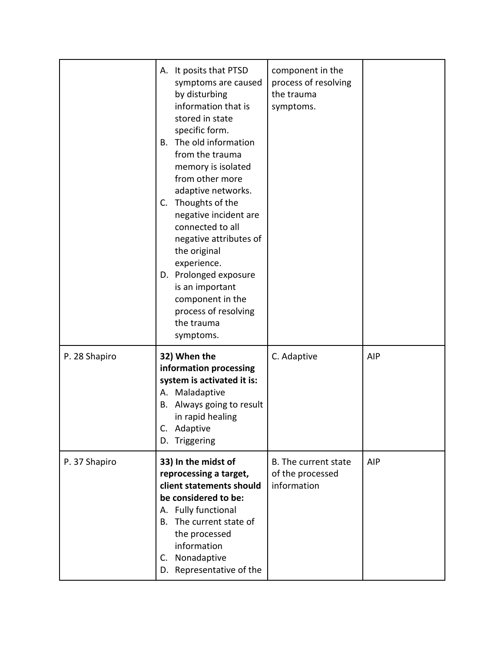|               | A. It posits that PTSD<br>symptoms are caused<br>by disturbing<br>information that is<br>stored in state<br>specific form.<br>The old information<br>В.<br>from the trauma<br>memory is isolated<br>from other more<br>adaptive networks.<br>Thoughts of the<br>C.<br>negative incident are<br>connected to all<br>negative attributes of<br>the original<br>experience.<br>D. Prolonged exposure<br>is an important<br>component in the<br>process of resolving<br>the trauma<br>symptoms. | component in the<br>process of resolving<br>the trauma<br>symptoms. |            |
|---------------|---------------------------------------------------------------------------------------------------------------------------------------------------------------------------------------------------------------------------------------------------------------------------------------------------------------------------------------------------------------------------------------------------------------------------------------------------------------------------------------------|---------------------------------------------------------------------|------------|
| P. 28 Shapiro | 32) When the<br>information processing<br>system is activated it is:<br>A. Maladaptive<br>B. Always going to result<br>in rapid healing<br>Adaptive<br>Triggering<br>D.                                                                                                                                                                                                                                                                                                                     | C. Adaptive                                                         | <b>AIP</b> |
| P. 37 Shapiro | 33) In the midst of<br>reprocessing a target,<br>client statements should<br>be considered to be:<br>A. Fully functional<br>The current state of<br>В.<br>the processed<br>information<br>Nonadaptive<br>C.<br>D. Representative of the                                                                                                                                                                                                                                                     | B. The current state<br>of the processed<br>information             | <b>AIP</b> |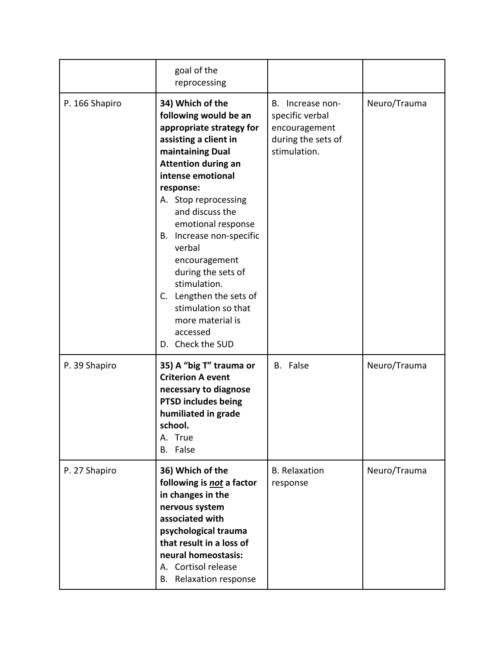|                | goal of the<br>reprocessing                                                                                                                                                                                                                                                                                                                                                                                                                            |                                                                                            |              |
|----------------|--------------------------------------------------------------------------------------------------------------------------------------------------------------------------------------------------------------------------------------------------------------------------------------------------------------------------------------------------------------------------------------------------------------------------------------------------------|--------------------------------------------------------------------------------------------|--------------|
| P. 166 Shapiro | 34) Which of the<br>following would be an<br>appropriate strategy for<br>assisting a client in<br>maintaining Dual<br><b>Attention during an</b><br>intense emotional<br>response:<br>A. Stop reprocessing<br>and discuss the<br>emotional response<br>B. Increase non-specific<br>verbal<br>encouragement<br>during the sets of<br>stimulation.<br>C. Lengthen the sets of<br>stimulation so that<br>more material is<br>accessed<br>D. Check the SUD | B. Increase non-<br>specific verbal<br>encouragement<br>during the sets of<br>stimulation. | Neuro/Trauma |
| P. 39 Shapiro  | 35) A "big T" trauma or<br><b>Criterion A event</b><br>necessary to diagnose<br><b>PTSD includes being</b><br>humiliated in grade<br>school.<br>A. True<br>B. False                                                                                                                                                                                                                                                                                    | B. False                                                                                   | Neuro/Trauma |
| P. 27 Shapiro  | 36) Which of the<br>following is not a factor<br>in changes in the<br>nervous system<br>associated with<br>psychological trauma<br>that result in a loss of<br>neural homeostasis:<br>A. Cortisol release<br>Relaxation response<br>В.                                                                                                                                                                                                                 | <b>B.</b> Relaxation<br>response                                                           | Neuro/Trauma |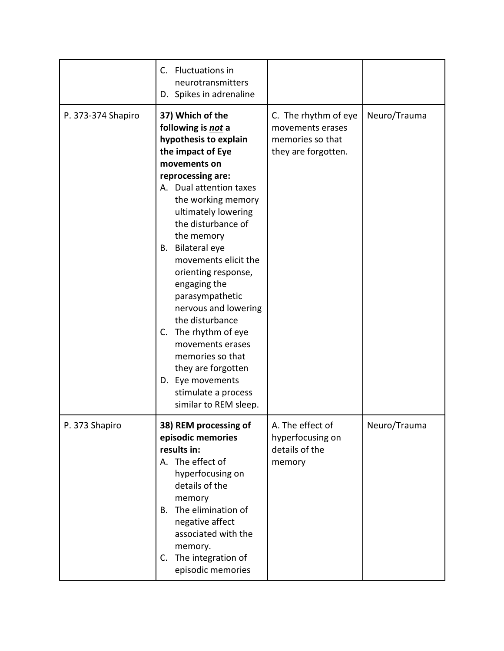|                    | C. Fluctuations in<br>neurotransmitters<br>D. Spikes in adrenaline                                                                                                                                                                                                                                                                                                                                                                                                                                                                                            |                                                                                     |              |
|--------------------|---------------------------------------------------------------------------------------------------------------------------------------------------------------------------------------------------------------------------------------------------------------------------------------------------------------------------------------------------------------------------------------------------------------------------------------------------------------------------------------------------------------------------------------------------------------|-------------------------------------------------------------------------------------|--------------|
| P. 373-374 Shapiro | 37) Which of the<br>following is not a<br>hypothesis to explain<br>the impact of Eye<br>movements on<br>reprocessing are:<br>A. Dual attention taxes<br>the working memory<br>ultimately lowering<br>the disturbance of<br>the memory<br><b>Bilateral eye</b><br>В.<br>movements elicit the<br>orienting response,<br>engaging the<br>parasympathetic<br>nervous and lowering<br>the disturbance<br>The rhythm of eye<br>C.<br>movements erases<br>memories so that<br>they are forgotten<br>D. Eye movements<br>stimulate a process<br>similar to REM sleep. | C. The rhythm of eye<br>movements erases<br>memories so that<br>they are forgotten. | Neuro/Trauma |
| P. 373 Shapiro     | 38) REM processing of<br>episodic memories<br>results in:<br>A. The effect of<br>hyperfocusing on<br>details of the<br>memory<br>B. The elimination of<br>negative affect<br>associated with the<br>memory.<br>C. The integration of<br>episodic memories                                                                                                                                                                                                                                                                                                     | A. The effect of<br>hyperfocusing on<br>details of the<br>memory                    | Neuro/Trauma |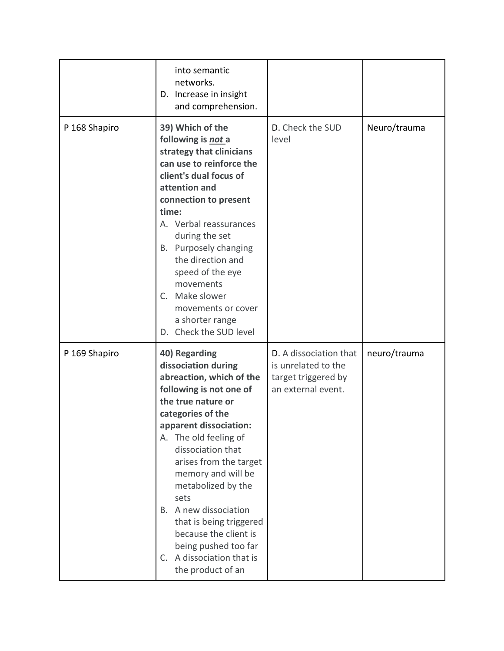|               | into semantic<br>networks.<br>D. Increase in insight<br>and comprehension.                                                                                                                                                                                                                                                                                                                                                                          |                                                                                            |              |
|---------------|-----------------------------------------------------------------------------------------------------------------------------------------------------------------------------------------------------------------------------------------------------------------------------------------------------------------------------------------------------------------------------------------------------------------------------------------------------|--------------------------------------------------------------------------------------------|--------------|
| P 168 Shapiro | 39) Which of the<br>following is not a<br>strategy that clinicians<br>can use to reinforce the<br>client's dual focus of<br>attention and<br>connection to present<br>time:<br>A. Verbal reassurances<br>during the set<br>B. Purposely changing<br>the direction and<br>speed of the eye<br>movements<br>C. Make slower<br>movements or cover<br>a shorter range<br>D. Check the SUD level                                                         | D. Check the SUD<br>level                                                                  | Neuro/trauma |
| P 169 Shapiro | 40) Regarding<br>dissociation during<br>abreaction, which of the<br>following is not one of<br>the true nature or<br>categories of the<br>apparent dissociation:<br>A. The old feeling of<br>dissociation that<br>arises from the target<br>memory and will be<br>metabolized by the<br>sets<br>B. A new dissociation<br>that is being triggered<br>because the client is<br>being pushed too far<br>C. A dissociation that is<br>the product of an | D. A dissociation that<br>is unrelated to the<br>target triggered by<br>an external event. | neuro/trauma |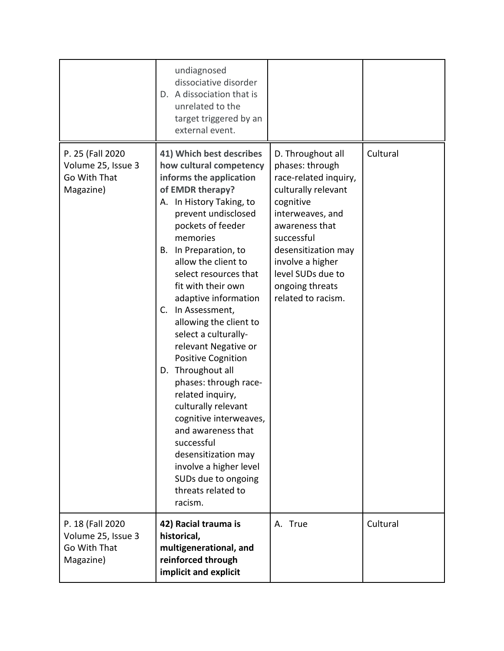|                                                                      | undiagnosed<br>dissociative disorder<br>D. A dissociation that is<br>unrelated to the<br>target triggered by an<br>external event.                                                                                                                                                                                                                                                                                                                                                                                                                                                                                                                                                                              |                                                                                                                                                                                                                                                                |          |
|----------------------------------------------------------------------|-----------------------------------------------------------------------------------------------------------------------------------------------------------------------------------------------------------------------------------------------------------------------------------------------------------------------------------------------------------------------------------------------------------------------------------------------------------------------------------------------------------------------------------------------------------------------------------------------------------------------------------------------------------------------------------------------------------------|----------------------------------------------------------------------------------------------------------------------------------------------------------------------------------------------------------------------------------------------------------------|----------|
| P. 25 (Fall 2020<br>Volume 25, Issue 3<br>Go With That<br>Magazine)  | 41) Which best describes<br>how cultural competency<br>informs the application<br>of EMDR therapy?<br>A. In History Taking, to<br>prevent undisclosed<br>pockets of feeder<br>memories<br>In Preparation, to<br>В.<br>allow the client to<br>select resources that<br>fit with their own<br>adaptive information<br>In Assessment,<br>C.<br>allowing the client to<br>select a culturally-<br>relevant Negative or<br><b>Positive Cognition</b><br>D. Throughout all<br>phases: through race-<br>related inquiry,<br>culturally relevant<br>cognitive interweaves,<br>and awareness that<br>successful<br>desensitization may<br>involve a higher level<br>SUDs due to ongoing<br>threats related to<br>racism. | D. Throughout all<br>phases: through<br>race-related inquiry,<br>culturally relevant<br>cognitive<br>interweaves, and<br>awareness that<br>successful<br>desensitization may<br>involve a higher<br>level SUDs due to<br>ongoing threats<br>related to racism. | Cultural |
| P. 18 (Fall 2020)<br>Volume 25, Issue 3<br>Go With That<br>Magazine) | 42) Racial trauma is<br>historical,<br>multigenerational, and<br>reinforced through<br>implicit and explicit                                                                                                                                                                                                                                                                                                                                                                                                                                                                                                                                                                                                    | A. True                                                                                                                                                                                                                                                        | Cultural |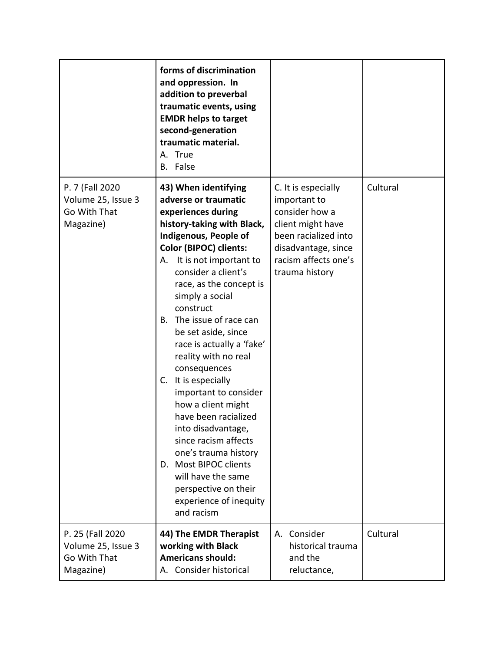|                                                                     | forms of discrimination<br>and oppression. In<br>addition to preverbal<br>traumatic events, using<br><b>EMDR helps to target</b><br>second-generation<br>traumatic material.<br>A. True<br>B. False                                                                                                                                                                                                                                                                                                                                                                                                                                                                                        |                                                                                                                                                                     |          |
|---------------------------------------------------------------------|--------------------------------------------------------------------------------------------------------------------------------------------------------------------------------------------------------------------------------------------------------------------------------------------------------------------------------------------------------------------------------------------------------------------------------------------------------------------------------------------------------------------------------------------------------------------------------------------------------------------------------------------------------------------------------------------|---------------------------------------------------------------------------------------------------------------------------------------------------------------------|----------|
| P. 7 (Fall 2020<br>Volume 25, Issue 3<br>Go With That<br>Magazine)  | 43) When identifying<br>adverse or traumatic<br>experiences during<br>history-taking with Black,<br>Indigenous, People of<br><b>Color (BIPOC) clients:</b><br>It is not important to<br>А.<br>consider a client's<br>race, as the concept is<br>simply a social<br>construct<br>The issue of race can<br>В.<br>be set aside, since<br>race is actually a 'fake'<br>reality with no real<br>consequences<br>C. It is especially<br>important to consider<br>how a client might<br>have been racialized<br>into disadvantage,<br>since racism affects<br>one's trauma history<br>D. Most BIPOC clients<br>will have the same<br>perspective on their<br>experience of inequity<br>and racism | C. It is especially<br>important to<br>consider how a<br>client might have<br>been racialized into<br>disadvantage, since<br>racism affects one's<br>trauma history | Cultural |
| P. 25 (Fall 2020<br>Volume 25, Issue 3<br>Go With That<br>Magazine) | 44) The EMDR Therapist<br>working with Black<br><b>Americans should:</b><br>A. Consider historical                                                                                                                                                                                                                                                                                                                                                                                                                                                                                                                                                                                         | Consider<br>А.<br>historical trauma<br>and the<br>reluctance,                                                                                                       | Cultural |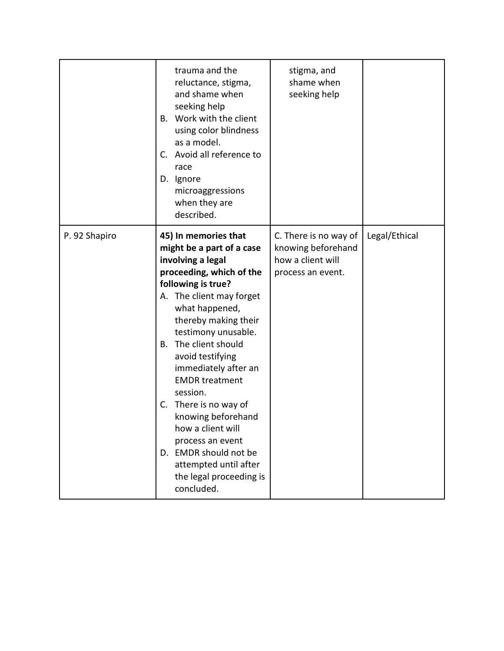|               | trauma and the<br>reluctance, stigma,<br>and shame when<br>seeking help<br>B. Work with the client<br>using color blindness<br>as a model.<br>Avoid all reference to<br>C.<br>race<br>D. Ignore<br>microaggressions<br>when they are<br>described.                                                                                                                                                                                                                                                                   | stigma, and<br>shame when<br>seeking help                                             |               |
|---------------|----------------------------------------------------------------------------------------------------------------------------------------------------------------------------------------------------------------------------------------------------------------------------------------------------------------------------------------------------------------------------------------------------------------------------------------------------------------------------------------------------------------------|---------------------------------------------------------------------------------------|---------------|
| P. 92 Shapiro | 45) In memories that<br>might be a part of a case<br>involving a legal<br>proceeding, which of the<br>following is true?<br>A. The client may forget<br>what happened,<br>thereby making their<br>testimony unusable.<br>The client should<br>В.<br>avoid testifying<br>immediately after an<br><b>EMDR</b> treatment<br>session.<br>C. There is no way of<br>knowing beforehand<br>how a client will<br>process an event<br>D. EMDR should not be<br>attempted until after<br>the legal proceeding is<br>concluded. | C. There is no way of<br>knowing beforehand<br>how a client will<br>process an event. | Legal/Ethical |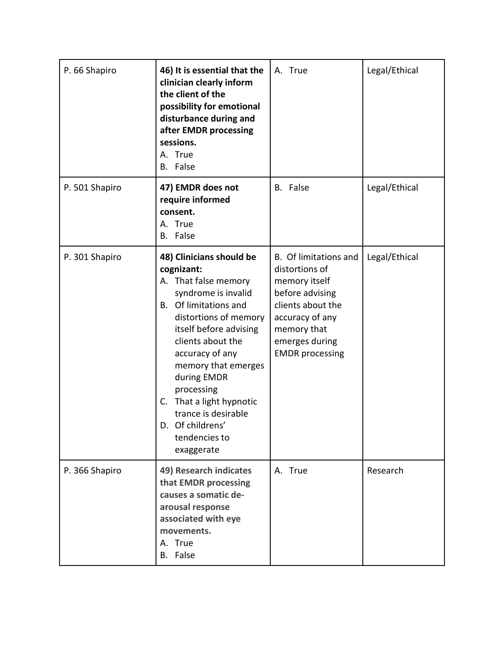| P. 66 Shapiro  | 46) It is essential that the<br>clinician clearly inform<br>the client of the<br>possibility for emotional<br>disturbance during and<br>after EMDR processing<br>sessions.<br>A. True<br>False<br>В.                                                                                                                                                                      | A. True                                                                                                                                                                        | Legal/Ethical |
|----------------|---------------------------------------------------------------------------------------------------------------------------------------------------------------------------------------------------------------------------------------------------------------------------------------------------------------------------------------------------------------------------|--------------------------------------------------------------------------------------------------------------------------------------------------------------------------------|---------------|
| P. 501 Shapiro | 47) EMDR does not<br>require informed<br>consent.<br>A. True<br>False<br>В.                                                                                                                                                                                                                                                                                               | B. False                                                                                                                                                                       | Legal/Ethical |
| P. 301 Shapiro | 48) Clinicians should be<br>cognizant:<br>A. That false memory<br>syndrome is invalid<br>B. Of limitations and<br>distortions of memory<br>itself before advising<br>clients about the<br>accuracy of any<br>memory that emerges<br>during EMDR<br>processing<br>That a light hypnotic<br>C.<br>trance is desirable<br>Of childrens'<br>D.<br>tendencies to<br>exaggerate | B. Of limitations and<br>distortions of<br>memory itself<br>before advising<br>clients about the<br>accuracy of any<br>memory that<br>emerges during<br><b>EMDR</b> processing | Legal/Ethical |
| P. 366 Shapiro | 49) Research indicates<br>that EMDR processing<br>causes a somatic de-<br>arousal response<br>associated with eye<br>movements.<br>A. True<br>B. False                                                                                                                                                                                                                    | A. True                                                                                                                                                                        | Research      |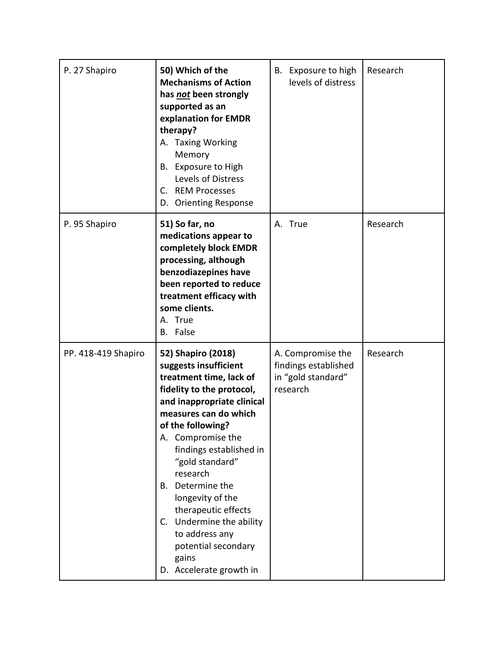| P. 27 Shapiro       | 50) Which of the<br><b>Mechanisms of Action</b><br>has not been strongly<br>supported as an<br>explanation for EMDR<br>therapy?<br>A. Taxing Working<br>Memory<br>B. Exposure to High<br>Levels of Distress<br>C. REM Processes<br>D. Orienting Response                                                                                                                                                                                  | B. Exposure to high<br>levels of distress                                   | Research |
|---------------------|-------------------------------------------------------------------------------------------------------------------------------------------------------------------------------------------------------------------------------------------------------------------------------------------------------------------------------------------------------------------------------------------------------------------------------------------|-----------------------------------------------------------------------------|----------|
| P. 95 Shapiro       | 51) So far, no<br>medications appear to<br>completely block EMDR<br>processing, although<br>benzodiazepines have<br>been reported to reduce<br>treatment efficacy with<br>some clients.<br>A. True<br>B. False                                                                                                                                                                                                                            | A. True                                                                     | Research |
| PP. 418-419 Shapiro | 52) Shapiro (2018)<br>suggests insufficient<br>treatment time, lack of<br>fidelity to the protocol,<br>and inappropriate clinical<br>measures can do which<br>of the following?<br>A. Compromise the<br>findings established in<br>"gold standard"<br>research<br>Determine the<br>В.<br>longevity of the<br>therapeutic effects<br>C. Undermine the ability<br>to address any<br>potential secondary<br>gains<br>D. Accelerate growth in | A. Compromise the<br>findings established<br>in "gold standard"<br>research | Research |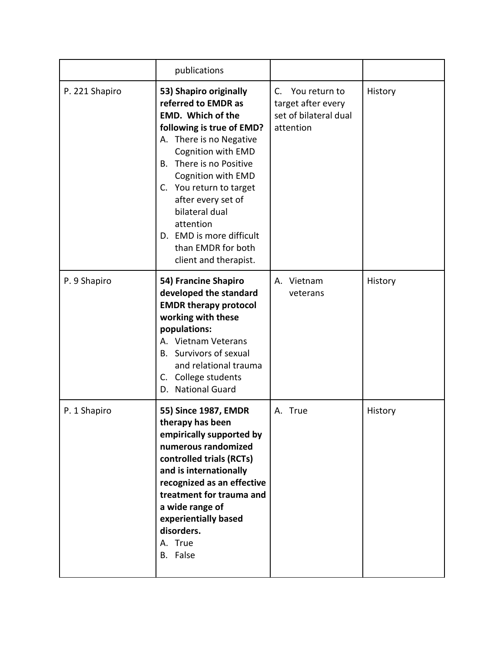|                | publications                                                                                                                                                                                                                                                                                                                                                           |                                                                                 |         |
|----------------|------------------------------------------------------------------------------------------------------------------------------------------------------------------------------------------------------------------------------------------------------------------------------------------------------------------------------------------------------------------------|---------------------------------------------------------------------------------|---------|
| P. 221 Shapiro | 53) Shapiro originally<br>referred to EMDR as<br><b>EMD.</b> Which of the<br>following is true of EMD?<br>A. There is no Negative<br>Cognition with EMD<br>There is no Positive<br>В.<br>Cognition with EMD<br>C. You return to target<br>after every set of<br>bilateral dual<br>attention<br>D. EMD is more difficult<br>than EMDR for both<br>client and therapist. | C.<br>You return to<br>target after every<br>set of bilateral dual<br>attention | History |
| P. 9 Shapiro   | 54) Francine Shapiro<br>developed the standard<br><b>EMDR therapy protocol</b><br>working with these<br>populations:<br>A. Vietnam Veterans<br>B. Survivors of sexual<br>and relational trauma<br>C. College students<br>D. National Guard                                                                                                                             | A. Vietnam<br>veterans                                                          | History |
| P. 1 Shapiro   | 55) Since 1987, EMDR<br>therapy has been<br>empirically supported by<br>numerous randomized<br>controlled trials (RCTs)<br>and is internationally<br>recognized as an effective<br>treatment for trauma and<br>a wide range of<br>experientially based<br>disorders.<br>A. True<br>B. False                                                                            | A. True                                                                         | History |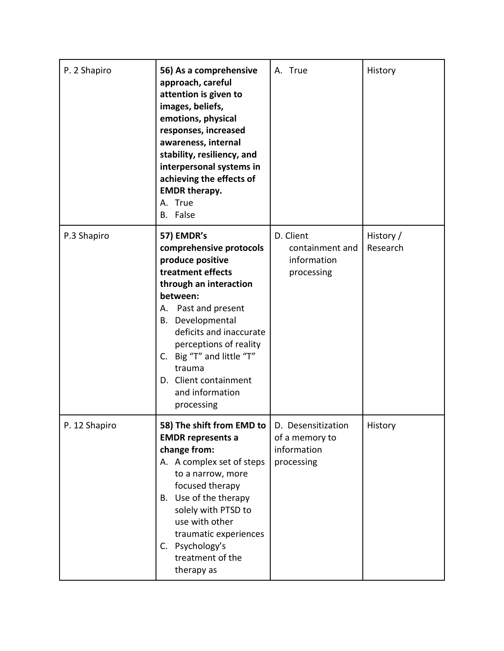| P. 2 Shapiro  | 56) As a comprehensive<br>approach, careful<br>attention is given to<br>images, beliefs,<br>emotions, physical<br>responses, increased<br>awareness, internal<br>stability, resiliency, and<br>interpersonal systems in<br>achieving the effects of<br><b>EMDR therapy.</b><br>A. True<br>B. False                       | A. True                                                           | History               |
|---------------|--------------------------------------------------------------------------------------------------------------------------------------------------------------------------------------------------------------------------------------------------------------------------------------------------------------------------|-------------------------------------------------------------------|-----------------------|
| P.3 Shapiro   | 57) EMDR's<br>comprehensive protocols<br>produce positive<br>treatment effects<br>through an interaction<br>between:<br>Past and present<br>А.<br>B. Developmental<br>deficits and inaccurate<br>perceptions of reality<br>C. Big "T" and little "T"<br>trauma<br>D. Client containment<br>and information<br>processing | D. Client<br>containment and<br>information<br>processing         | History /<br>Research |
| P. 12 Shapiro | 58) The shift from EMD to  <br><b>EMDR</b> represents a<br>change from:<br>A. A complex set of steps<br>to a narrow, more<br>focused therapy<br>B. Use of the therapy<br>solely with PTSD to<br>use with other<br>traumatic experiences<br>C. Psychology's<br>treatment of the<br>therapy as                             | D. Desensitization<br>of a memory to<br>information<br>processing | History               |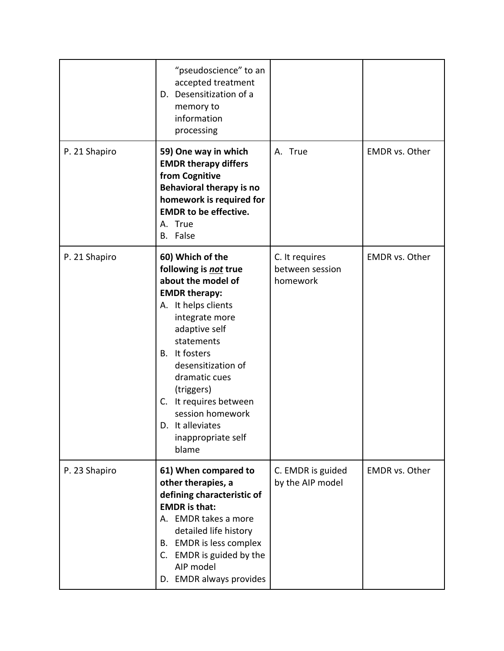|               | "pseudoscience" to an<br>accepted treatment<br>D. Desensitization of a<br>memory to<br>information<br>processing                                                                                                                                                                                                                                      |                                               |                       |
|---------------|-------------------------------------------------------------------------------------------------------------------------------------------------------------------------------------------------------------------------------------------------------------------------------------------------------------------------------------------------------|-----------------------------------------------|-----------------------|
| P. 21 Shapiro | 59) One way in which<br><b>EMDR therapy differs</b><br>from Cognitive<br>Behavioral therapy is no<br>homework is required for<br><b>EMDR to be effective.</b><br>A. True<br>B. False                                                                                                                                                                  | A. True                                       | <b>EMDR</b> vs. Other |
| P. 21 Shapiro | 60) Which of the<br>following is not true<br>about the model of<br><b>EMDR therapy:</b><br>A. It helps clients<br>integrate more<br>adaptive self<br>statements<br>B. It fosters<br>desensitization of<br>dramatic cues<br>(triggers)<br>It requires between<br>$C_{\cdot}$<br>session homework<br>It alleviates<br>D.<br>inappropriate self<br>blame | C. It requires<br>between session<br>homework | <b>EMDR</b> vs. Other |
| P. 23 Shapiro | 61) When compared to<br>other therapies, a<br>defining characteristic of<br><b>EMDR</b> is that:<br>A. EMDR takes a more<br>detailed life history<br>B. EMDR is less complex<br>C. EMDR is guided by the<br>AIP model<br>D. EMDR always provides                                                                                                      | C. EMDR is guided<br>by the AIP model         | <b>EMDR</b> vs. Other |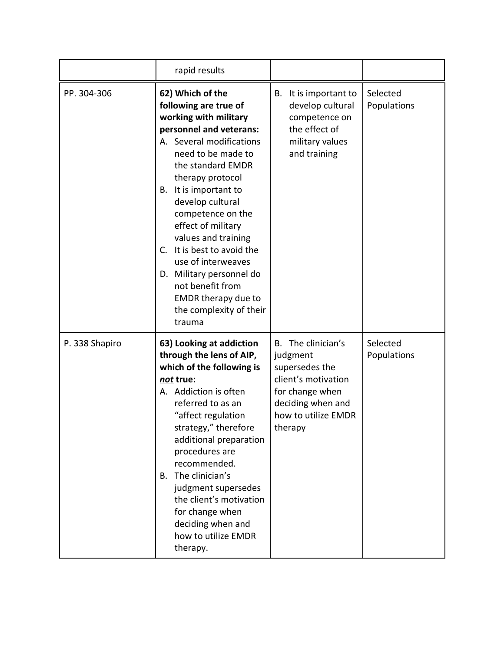|                | rapid results                                                                                                                                                                                                                                                                                                                                                                                                                                                                           |                                                                                                                                                      |                         |
|----------------|-----------------------------------------------------------------------------------------------------------------------------------------------------------------------------------------------------------------------------------------------------------------------------------------------------------------------------------------------------------------------------------------------------------------------------------------------------------------------------------------|------------------------------------------------------------------------------------------------------------------------------------------------------|-------------------------|
| PP. 304-306    | 62) Which of the<br>following are true of<br>working with military<br>personnel and veterans:<br>A. Several modifications<br>need to be made to<br>the standard EMDR<br>therapy protocol<br>It is important to<br>В.<br>develop cultural<br>competence on the<br>effect of military<br>values and training<br>It is best to avoid the<br>C.<br>use of interweaves<br>Military personnel do<br>D.<br>not benefit from<br><b>EMDR</b> therapy due to<br>the complexity of their<br>trauma | It is important to<br>В.<br>develop cultural<br>competence on<br>the effect of<br>military values<br>and training                                    | Selected<br>Populations |
| P. 338 Shapiro | 63) Looking at addiction<br>through the lens of AIP,<br>which of the following is<br>not true:<br>A. Addiction is often<br>referred to as an<br>"affect regulation<br>strategy," therefore<br>additional preparation<br>procedures are<br>recommended.<br>The clinician's<br>В.<br>judgment supersedes<br>the client's motivation<br>for change when<br>deciding when and<br>how to utilize EMDR<br>therapy.                                                                            | The clinician's<br>В.<br>judgment<br>supersedes the<br>client's motivation<br>for change when<br>deciding when and<br>how to utilize EMDR<br>therapy | Selected<br>Populations |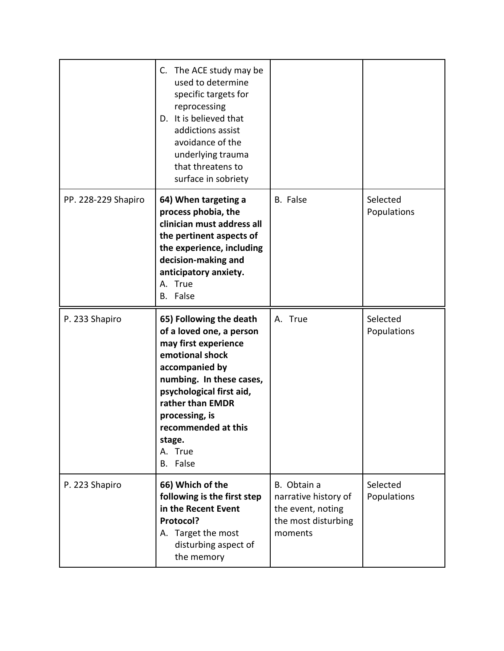|                     | C. The ACE study may be<br>used to determine<br>specific targets for<br>reprocessing<br>D. It is believed that<br>addictions assist<br>avoidance of the<br>underlying trauma<br>that threatens to<br>surface in sobriety                                               |                                                                                            |                         |
|---------------------|------------------------------------------------------------------------------------------------------------------------------------------------------------------------------------------------------------------------------------------------------------------------|--------------------------------------------------------------------------------------------|-------------------------|
| PP. 228-229 Shapiro | 64) When targeting a<br>process phobia, the<br>clinician must address all<br>the pertinent aspects of<br>the experience, including<br>decision-making and<br>anticipatory anxiety.<br>A. True<br>B. False                                                              | <b>B.</b> False                                                                            | Selected<br>Populations |
| P. 233 Shapiro      | 65) Following the death<br>of a loved one, a person<br>may first experience<br>emotional shock<br>accompanied by<br>numbing. In these cases,<br>psychological first aid,<br>rather than EMDR<br>processing, is<br>recommended at this<br>stage.<br>A. True<br>B. False | A. True                                                                                    | Selected<br>Populations |
| P. 223 Shapiro      | 66) Which of the<br>following is the first step<br>in the Recent Event<br>Protocol?<br>A. Target the most<br>disturbing aspect of<br>the memory                                                                                                                        | B. Obtain a<br>narrative history of<br>the event, noting<br>the most disturbing<br>moments | Selected<br>Populations |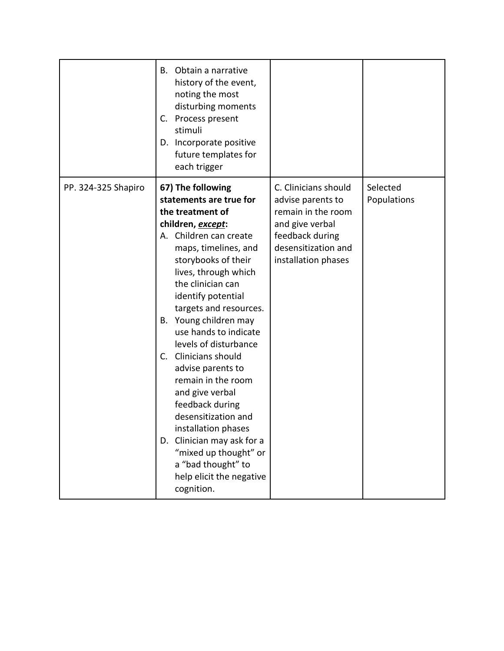|                     | B. Obtain a narrative<br>history of the event,<br>noting the most<br>disturbing moments<br>C. Process present<br>stimuli<br>D. Incorporate positive<br>future templates for<br>each trigger                                                                                                                                                                                                                                                                                                                                                                                                                             |                                                                                                                                                     |                         |
|---------------------|-------------------------------------------------------------------------------------------------------------------------------------------------------------------------------------------------------------------------------------------------------------------------------------------------------------------------------------------------------------------------------------------------------------------------------------------------------------------------------------------------------------------------------------------------------------------------------------------------------------------------|-----------------------------------------------------------------------------------------------------------------------------------------------------|-------------------------|
| PP. 324-325 Shapiro | 67) The following<br>statements are true for<br>the treatment of<br>children, except:<br>A. Children can create<br>maps, timelines, and<br>storybooks of their<br>lives, through which<br>the clinician can<br>identify potential<br>targets and resources.<br>B. Young children may<br>use hands to indicate<br>levels of disturbance<br>Clinicians should<br>C.<br>advise parents to<br>remain in the room<br>and give verbal<br>feedback during<br>desensitization and<br>installation phases<br>D. Clinician may ask for a<br>"mixed up thought" or<br>a "bad thought" to<br>help elicit the negative<br>cognition. | C. Clinicians should<br>advise parents to<br>remain in the room<br>and give verbal<br>feedback during<br>desensitization and<br>installation phases | Selected<br>Populations |